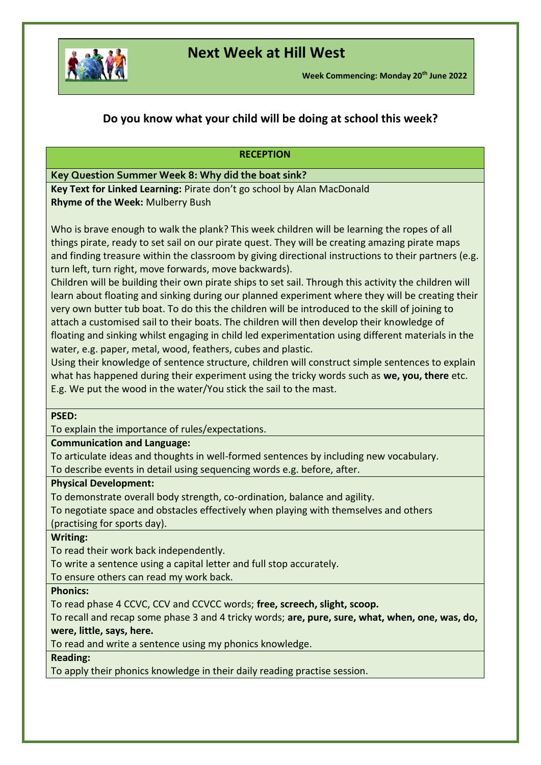

# **Next Week at Hill West**

# **Do you know what your child will be doing at school this week?**

### **RECEPTION**

## **Key Question Summer Week 8: Why did the boat sink?**

**Key Text for Linked Learning:** Pirate don't go school by Alan MacDonald **Rhyme of the Week:** Mulberry Bush

Who is brave enough to walk the plank? This week children will be learning the ropes of all things pirate, ready to set sail on our pirate quest. They will be creating amazing pirate maps and finding treasure within the classroom by giving directional instructions to their partners (e.g. turn left, turn right, move forwards, move backwards).

Children will be building their own pirate ships to set sail. Through this activity the children will learn about floating and sinking during our planned experiment where they will be creating their very own butter tub boat. To do this the children will be introduced to the skill of joining to attach a customised sail to their boats. The children will then develop their knowledge of floating and sinking whilst engaging in child led experimentation using different materials in the water, e.g. paper, metal, wood, feathers, cubes and plastic.

Using their knowledge of sentence structure, children will construct simple sentences to explain what has happened during their experiment using the tricky words such as **we, you, there** etc. E.g. We put the wood in the water/You stick the sail to the mast.

### **PSED:**

To explain the importance of rules/expectations.

#### **Communication and Language:**

To articulate ideas and thoughts in well-formed sentences by including new vocabulary. To describe events in detail using sequencing words e.g. before, after.

#### **Physical Development:**

To demonstrate overall body strength, co-ordination, balance and agility.

To negotiate space and obstacles effectively when playing with themselves and others

(practising for sports day).

### **Writing:**

To read their work back independently.

To write a sentence using a capital letter and full stop accurately.

To ensure others can read my work back.

#### **Phonics:**

To read phase 4 CCVC, CCV and CCVCC words; **free, screech, slight, scoop.** 

To recall and recap some phase 3 and 4 tricky words; **are, pure, sure, what, when, one, was, do, were, little, says, here.** 

To read and write a sentence using my phonics knowledge.

### **Reading:**

To apply their phonics knowledge in their daily reading practise session.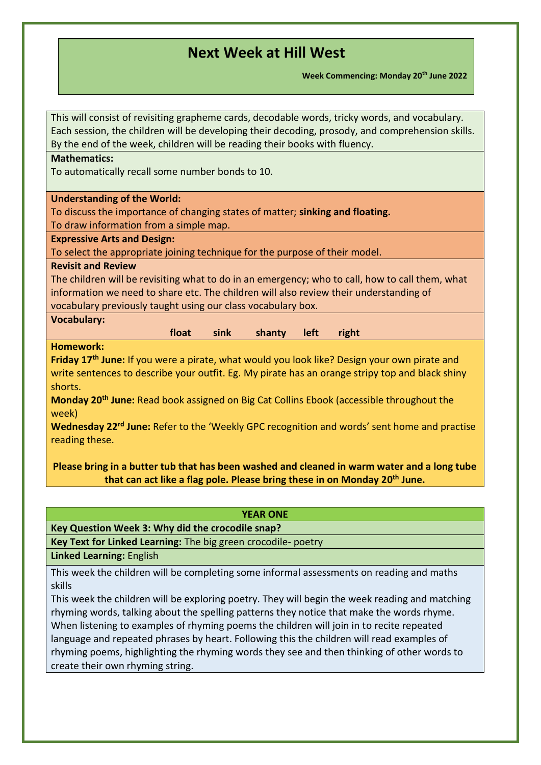**Week Commencing: Monday 20th June 2022**

| This will consist of revisiting grapheme cards, decodable words, tricky words, and vocabulary.<br>Each session, the children will be developing their decoding, prosody, and comprehension skills. |
|----------------------------------------------------------------------------------------------------------------------------------------------------------------------------------------------------|
| By the end of the week, children will be reading their books with fluency.                                                                                                                         |
| <b>Mathematics:</b>                                                                                                                                                                                |
| To automatically recall some number bonds to 10.                                                                                                                                                   |
| <b>Understanding of the World:</b>                                                                                                                                                                 |
| To discuss the importance of changing states of matter; sinking and floating.                                                                                                                      |
| To draw information from a simple map.                                                                                                                                                             |
| <b>Expressive Arts and Design:</b>                                                                                                                                                                 |
| To select the appropriate joining technique for the purpose of their model.<br><b>Revisit and Review</b>                                                                                           |
| The children will be revisiting what to do in an emergency; who to call, how to call them, what                                                                                                    |
| information we need to share etc. The children will also review their understanding of                                                                                                             |
| vocabulary previously taught using our class vocabulary box.                                                                                                                                       |
| <b>Vocabulary:</b>                                                                                                                                                                                 |
| float<br>sink<br>shanty<br>left<br>right                                                                                                                                                           |
| <b>Homework:</b>                                                                                                                                                                                   |
| Friday 17 <sup>th</sup> June: If you were a pirate, what would you look like? Design your own pirate and                                                                                           |
| write sentences to describe your outfit. Eg. My pirate has an orange stripy top and black shiny                                                                                                    |
| shorts.                                                                                                                                                                                            |
| Monday 20 <sup>th</sup> June: Read book assigned on Big Cat Collins Ebook (accessible throughout the<br>week)                                                                                      |
| Wednesday 22 <sup>rd</sup> June: Refer to the 'Weekly GPC recognition and words' sent home and practise<br>reading these.                                                                          |
| Please bring in a butter tub that has been washed and cleaned in warm water and a long tube                                                                                                        |
| that can act like a flag pole. Please bring these in on Monday 20 <sup>th</sup> June.                                                                                                              |

| <b>YEAR ONE</b>                                                                                                                                                                                                                                                                                                                                                                                                                                                                                                        |
|------------------------------------------------------------------------------------------------------------------------------------------------------------------------------------------------------------------------------------------------------------------------------------------------------------------------------------------------------------------------------------------------------------------------------------------------------------------------------------------------------------------------|
| Key Question Week 3: Why did the crocodile snap?                                                                                                                                                                                                                                                                                                                                                                                                                                                                       |
| Key Text for Linked Learning: The big green crocodile- poetry                                                                                                                                                                                                                                                                                                                                                                                                                                                          |
| <b>Linked Learning: English</b>                                                                                                                                                                                                                                                                                                                                                                                                                                                                                        |
| This week the children will be completing some informal assessments on reading and maths<br>skills                                                                                                                                                                                                                                                                                                                                                                                                                     |
| This week the children will be exploring poetry. They will begin the week reading and matching<br>rhyming words, talking about the spelling patterns they notice that make the words rhyme.<br>When listening to examples of rhyming poems the children will join in to recite repeated<br>language and repeated phrases by heart. Following this the children will read examples of<br>rhyming poems, highlighting the rhyming words they see and then thinking of other words to<br>create their own rhyming string. |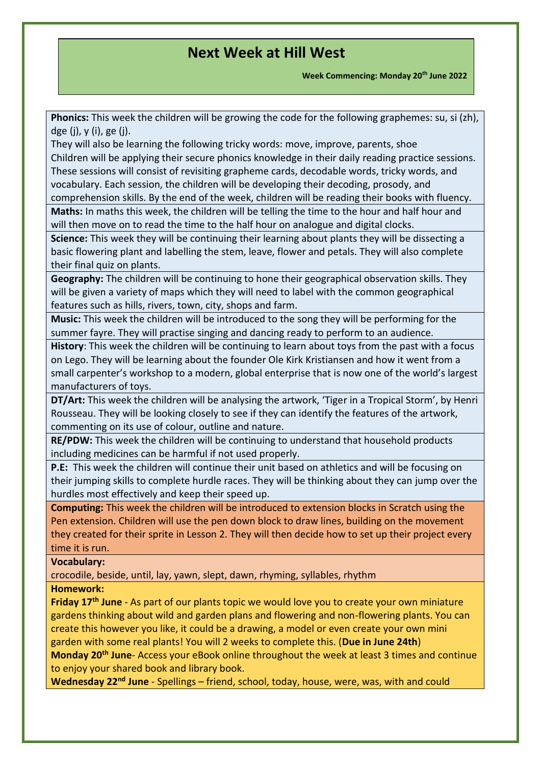**Week Commencing: Monday 20th June 2022**

**Phonics:** This week the children will be growing the code for the following graphemes: su, si (zh), dge (j), y (i), ge (j).

They will also be learning the following tricky words: move, improve, parents, shoe Children will be applying their secure phonics knowledge in their daily reading practice sessions. These sessions will consist of revisiting grapheme cards, decodable words, tricky words, and vocabulary. Each session, the children will be developing their decoding, prosody, and

comprehension skills. By the end of the week, children will be reading their books with fluency. **Maths:** In maths this week, the children will be telling the time to the hour and half hour and will then move on to read the time to the half hour on analogue and digital clocks.

**Science:** This week they will be continuing their learning about plants they will be dissecting a basic flowering plant and labelling the stem, leave, flower and petals. They will also complete their final quiz on plants.

**Geography:** The children will be continuing to hone their geographical observation skills. They will be given a variety of maps which they will need to label with the common geographical features such as hills, rivers, town, city, shops and farm.

**Music:** This week the children will be introduced to the song they will be performing for the summer fayre. They will practise singing and dancing ready to perform to an audience.

**History**: This week the children will be continuing to learn about toys from the past with a focus on Lego. They will be learning about the founder Ole Kirk Kristiansen and how it went from a small carpenter's workshop to a modern, global enterprise that is now one of the world's largest manufacturers of toys.

**DT/Art:** This week the children will be analysing the artwork, 'Tiger in a Tropical Storm', by Henri Rousseau. They will be looking closely to see if they can identify the features of the artwork, commenting on its use of colour, outline and nature.

**RE/PDW:** This week the children will be continuing to understand that household products including medicines can be harmful if not used properly.

**P.E:** This week the children will continue their unit based on athletics and will be focusing on their jumping skills to complete hurdle races. They will be thinking about they can jump over the hurdles most effectively and keep their speed up.

**Computing:** This week the children will be introduced to extension blocks in Scratch using the Pen extension. Children will use the pen down block to draw lines, building on the movement they created for their sprite in Lesson 2. They will then decide how to set up their project every time it is run.

### **Vocabulary:**

crocodile, beside, until, lay, yawn, slept, dawn, rhyming, syllables, rhythm

### **Homework:**

**Friday 17th June** - As part of our plants topic we would love you to create your own miniature gardens thinking about wild and garden plans and flowering and non-flowering plants. You can create this however you like, it could be a drawing, a model or even create your own mini garden with some real plants! You will 2 weeks to complete this. (**Due in June 24th**) **Monday 20th June**- Access your eBook online throughout the week at least 3 times and continue to enjoy your shared book and library book.

**Wednesday 22nd June** - Spellings – friend, school, today, house, were, was, with and could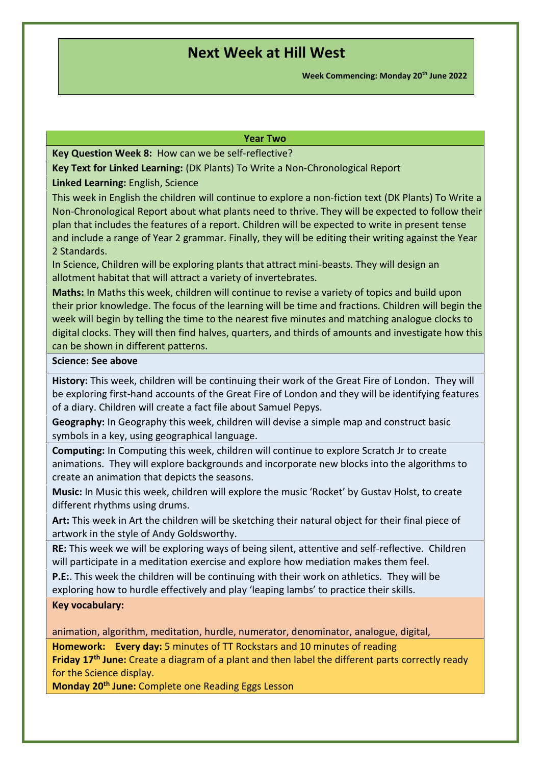**Week Commencing: Monday 20th June 2022**

#### **Year Two**

**Key Question Week 8:** How can we be self-reflective?

**Key Text for Linked Learning:** (DK Plants) To Write a Non-Chronological Report

**Linked Learning:** English, Science

This week in English the children will continue to explore a non-fiction text (DK Plants) To Write a Non-Chronological Report about what plants need to thrive. They will be expected to follow their plan that includes the features of a report. Children will be expected to write in present tense and include a range of Year 2 grammar. Finally, they will be editing their writing against the Year 2 Standards.

In Science, Children will be exploring plants that attract mini-beasts. They will design an allotment habitat that will attract a variety of invertebrates.

**Maths:** In Maths this week, children will continue to revise a variety of topics and build upon their prior knowledge. The focus of the learning will be time and fractions. Children will begin the week will begin by telling the time to the nearest five minutes and matching analogue clocks to digital clocks. They will then find halves, quarters, and thirds of amounts and investigate how this can be shown in different patterns.

#### **Science: See above**

**History:** This week, children will be continuing their work of the Great Fire of London. They will be exploring first-hand accounts of the Great Fire of London and they will be identifying features of a diary. Children will create a fact file about Samuel Pepys.

**Geography:** In Geography this week, children will devise a simple map and construct basic symbols in a key, using geographical language.

**Computing:** In Computing this week, children will continue to explore Scratch Jr to create animations. They will explore backgrounds and incorporate new blocks into the algorithms to create an animation that depicts the seasons.

**Music:** In Music this week, children will explore the music 'Rocket' by Gustav Holst, to create different rhythms using drums.

**Art:** This week in Art the children will be sketching their natural object for their final piece of artwork in the style of Andy Goldsworthy.

**RE:**This week we will be exploring ways of being silent, attentive and self-reflective. Children will participate in a meditation exercise and explore how mediation makes them feel.

**P.E:**. This week the children will be continuing with their work on athletics. They will be exploring how to hurdle effectively and play 'leaping lambs' to practice their skills.

### **Key vocabulary:**

animation, algorithm, meditation, hurdle, numerator, denominator, analogue, digital,

**Homework:  Every day:** 5 minutes of TT Rockstars and 10 minutes of reading

**Friday 17th June:** Create a diagram of a plant and then label the different parts correctly ready for the Science display.

**Monday 20th June:** Complete one Reading Eggs Lesson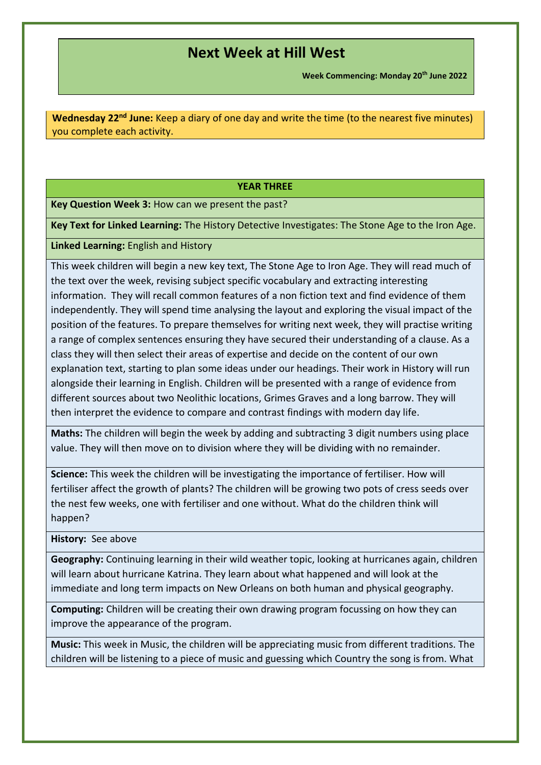**Week Commencing: Monday 20th June 2022**

**Wednesday 22nd June:** Keep a diary of one day and write the time (to the nearest five minutes) you complete each activity.

### **YEAR THREE**

**Key Question Week 3:** How can we present the past?

**Key Text for Linked Learning:** The History Detective Investigates: The Stone Age to the Iron Age.

**Linked Learning:** English and History

This week children will begin a new key text, The Stone Age to Iron Age. They will read much of the text over the week, revising subject specific vocabulary and extracting interesting information. They will recall common features of a non fiction text and find evidence of them independently. They will spend time analysing the layout and exploring the visual impact of the position of the features. To prepare themselves for writing next week, they will practise writing a range of complex sentences ensuring they have secured their understanding of a clause. As a class they will then select their areas of expertise and decide on the content of our own explanation text, starting to plan some ideas under our headings. Their work in History will run alongside their learning in English. Children will be presented with a range of evidence from different sources about two Neolithic locations, Grimes Graves and a long barrow. They will then interpret the evidence to compare and contrast findings with modern day life.

**Maths:** The children will begin the week by adding and subtracting 3 digit numbers using place value. They will then move on to division where they will be dividing with no remainder.

**Science:** This week the children will be investigating the importance of fertiliser. How will fertiliser affect the growth of plants? The children will be growing two pots of cress seeds over the nest few weeks, one with fertiliser and one without. What do the children think will happen?

**History:** See above

**Geography:** Continuing learning in their wild weather topic, looking at hurricanes again, children will learn about hurricane Katrina. They learn about what happened and will look at the immediate and long term impacts on New Orleans on both human and physical geography.

**Computing:** Children will be creating their own drawing program focussing on how they can improve the appearance of the program.

**Music:** This week in Music, the children will be appreciating music from different traditions. The children will be listening to a piece of music and guessing which Country the song is from. What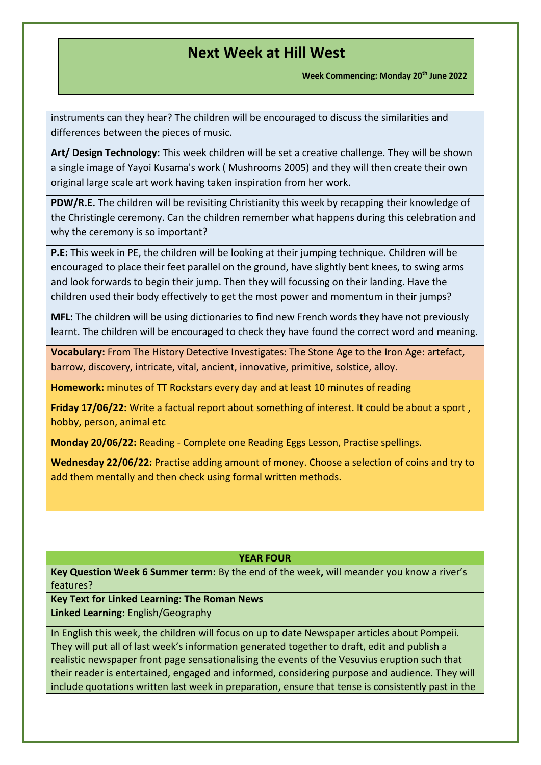**Week Commencing: Monday 20th June 2022**

instruments can they hear? The children will be encouraged to discuss the similarities and differences between the pieces of music.

**Art/ Design Technology:** This week children will be set a creative challenge. They will be shown a single image of Yayoi Kusama's work ( Mushrooms 2005) and they will then create their own original large scale art work having taken inspiration from her work.

**PDW/R.E.** The children will be revisiting Christianity this week by recapping their knowledge of the Christingle ceremony. Can the children remember what happens during this celebration and why the ceremony is so important?

**P.E:** This week in PE, the children will be looking at their jumping technique. Children will be encouraged to place their feet parallel on the ground, have slightly bent knees, to swing arms and look forwards to begin their jump. Then they will focussing on their landing. Have the children used their body effectively to get the most power and momentum in their jumps?

**MFL:** The children will be using dictionaries to find new French words they have not previously learnt. The children will be encouraged to check they have found the correct word and meaning.

**Vocabulary:** From The History Detective Investigates: The Stone Age to the Iron Age: artefact, barrow, discovery, intricate, vital, ancient, innovative, primitive, solstice, alloy.

**Homework:** minutes of TT Rockstars every day and at least 10 minutes of reading

**Friday 17/06/22:** Write a factual report about something of interest. It could be about a sport , hobby, person, animal etc

**Monday 20/06/22:** Reading - Complete one Reading Eggs Lesson, Practise spellings.

**Wednesday 22/06/22:** Practise adding amount of money. Choose a selection of coins and try to add them mentally and then check using formal written methods.

#### **YEAR FOUR**

**Key Question Week 6 Summer term:** By the end of the week**,** will meander you know a river's features?

**Key Text for Linked Learning: The Roman News**

**Linked Learning:** English/Geography

In English this week, the children will focus on up to date Newspaper articles about Pompeii. They will put all of last week's information generated together to draft, edit and publish a realistic newspaper front page sensationalising the events of the Vesuvius eruption such that their reader is entertained, engaged and informed, considering purpose and audience. They will include quotations written last week in preparation, ensure that tense is consistently past in the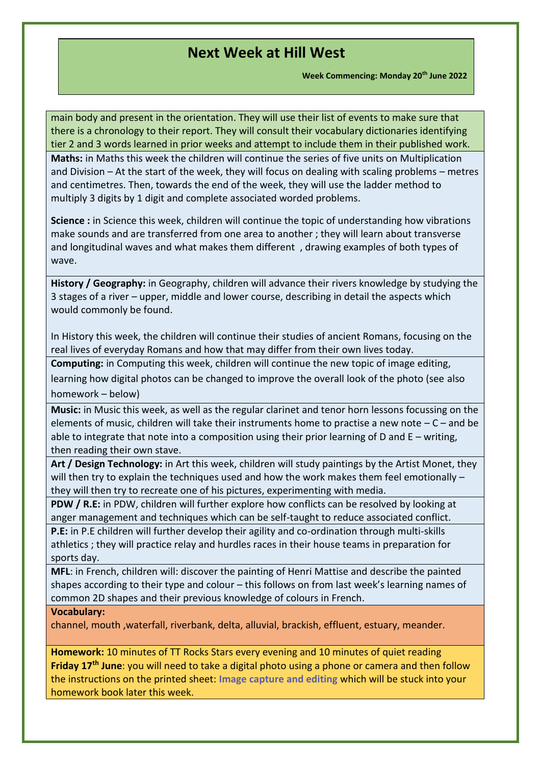**Week Commencing: Monday 20th June 2022**

main body and present in the orientation. They will use their list of events to make sure that there is a chronology to their report. They will consult their vocabulary dictionaries identifying tier 2 and 3 words learned in prior weeks and attempt to include them in their published work. **Maths:** in Maths this week the children will continue the series of five units on Multiplication and Division – At the start of the week, they will focus on dealing with scaling problems – metres and centimetres. Then, towards the end of the week, they will use the ladder method to multiply 3 digits by 1 digit and complete associated worded problems.

**Science :** in Science this week, children will continue the topic of understanding how vibrations make sounds and are transferred from one area to another ; they will learn about transverse and longitudinal waves and what makes them different , drawing examples of both types of wave.

**History / Geography:** in Geography, children will advance their rivers knowledge by studying the 3 stages of a river – upper, middle and lower course, describing in detail the aspects which would commonly be found.

In History this week, the children will continue their studies of ancient Romans, focusing on the real lives of everyday Romans and how that may differ from their own lives today.

**Computing:** in Computing this week, children will continue the new topic of image editing, learning how digital photos can be changed to improve the overall look of the photo (see also homework – below)

**Music:** in Music this week, as well as the regular clarinet and tenor horn lessons focussing on the elements of music, children will take their instruments home to practise a new note  $-C$  – and be able to integrate that note into a composition using their prior learning of D and  $E -$  writing, then reading their own stave.

**Art / Design Technology:** in Art this week, children will study paintings by the Artist Monet, they will then try to explain the techniques used and how the work makes them feel emotionally they will then try to recreate one of his pictures, experimenting with media.

**PDW / R.E:** in PDW, children will further explore how conflicts can be resolved by looking at anger management and techniques which can be self-taught to reduce associated conflict.

**P.E:** in P.E children will further develop their agility and co-ordination through multi-skills athletics ; they will practice relay and hurdles races in their house teams in preparation for sports day.

**MFL**: in French, children will: discover the painting of Henri Mattise and describe the painted shapes according to their type and colour – this follows on from last week's learning names of common 2D shapes and their previous knowledge of colours in French.

### **Vocabulary:**

channel, mouth ,waterfall, riverbank, delta, alluvial, brackish, effluent, estuary, meander.

**Homework:** 10 minutes of TT Rocks Stars every evening and 10 minutes of quiet reading **Friday 17th June**: you will need to take a digital photo using a phone or camera and then follow the instructions on the printed sheet: **Image capture and editing** which will be stuck into your homework book later this week.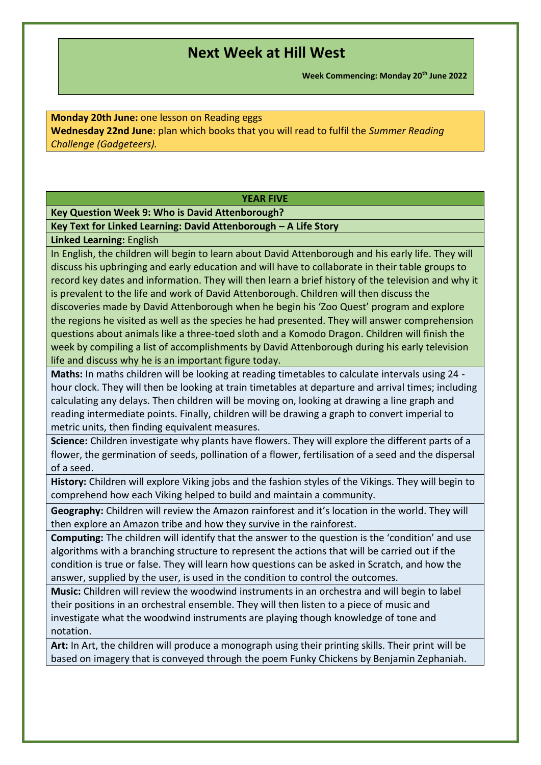**Week Commencing: Monday 20th June 2022**

**Monday 20th June:** one lesson on Reading eggs **Wednesday 22nd June**: plan which books that you will read to fulfil the *Summer Reading Challenge (Gadgeteers).*

### **YEAR FIVE**

### **Key Question Week 9: Who is David Attenborough?**

### **Key Text for Linked Learning: David Attenborough – A Life Story**

#### **Linked Learning:** English

In English, the children will begin to learn about David Attenborough and his early life. They will discuss his upbringing and early education and will have to collaborate in their table groups to record key dates and information. They will then learn a brief history of the television and why it is prevalent to the life and work of David Attenborough. Children will then discuss the discoveries made by David Attenborough when he begin his 'Zoo Quest' program and explore the regions he visited as well as the species he had presented. They will answer comprehension questions about animals like a three-toed sloth and a Komodo Dragon. Children will finish the week by compiling a list of accomplishments by David Attenborough during his early television life and discuss why he is an important figure today.

**Maths:** In maths children will be looking at reading timetables to calculate intervals using 24 hour clock. They will then be looking at train timetables at departure and arrival times; including calculating any delays. Then children will be moving on, looking at drawing a line graph and reading intermediate points. Finally, children will be drawing a graph to convert imperial to metric units, then finding equivalent measures.

**Science:** Children investigate why plants have flowers. They will explore the different parts of a flower, the germination of seeds, pollination of a flower, fertilisation of a seed and the dispersal of a seed.

**History:** Children will explore Viking jobs and the fashion styles of the Vikings. They will begin to comprehend how each Viking helped to build and maintain a community.

**Geography:** Children will review the Amazon rainforest and it's location in the world. They will then explore an Amazon tribe and how they survive in the rainforest.

**Computing:** The children will identify that the answer to the question is the 'condition' and use algorithms with a branching structure to represent the actions that will be carried out if the condition is true or false. They will learn how questions can be asked in Scratch, and how the answer, supplied by the user, is used in the condition to control the outcomes.

**Music:** Children will review the woodwind instruments in an orchestra and will begin to label their positions in an orchestral ensemble. They will then listen to a piece of music and investigate what the woodwind instruments are playing though knowledge of tone and notation.

**Art:** In Art, the children will produce a monograph using their printing skills. Their print will be based on imagery that is conveyed through the poem Funky Chickens by Benjamin Zephaniah.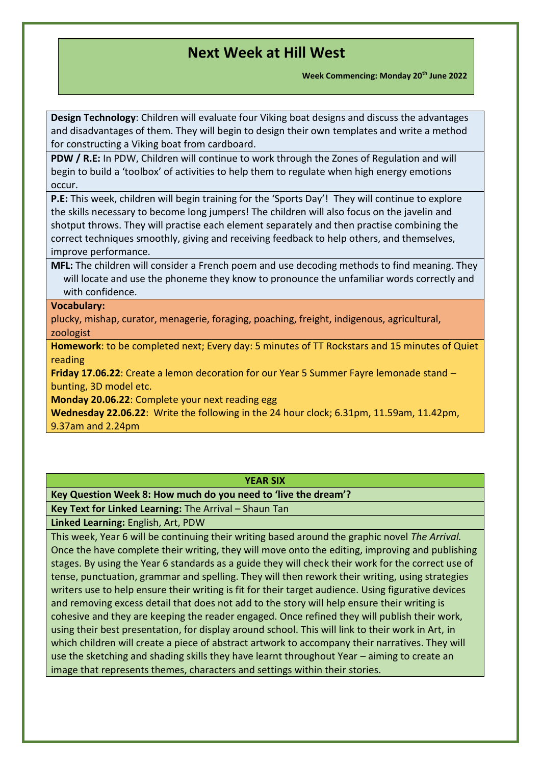**Week Commencing: Monday 20th June 2022**

**Design Technology**: Children will evaluate four Viking boat designs and discuss the advantages and disadvantages of them. They will begin to design their own templates and write a method for constructing a Viking boat from cardboard.

**PDW / R.E:** In PDW, Children will continue to work through the Zones of Regulation and will begin to build a 'toolbox' of activities to help them to regulate when high energy emotions occur.

**P.E:** This week, children will begin training for the 'Sports Day'! They will continue to explore the skills necessary to become long jumpers! The children will also focus on the javelin and shotput throws. They will practise each element separately and then practise combining the correct techniques smoothly, giving and receiving feedback to help others, and themselves, improve performance.

**MFL:** The children will consider a French poem and use decoding methods to find meaning. They will locate and use the phoneme they know to pronounce the unfamiliar words correctly and with confidence.

### **Vocabulary:**

plucky, mishap, curator, menagerie, foraging, poaching, freight, indigenous, agricultural, zoologist

**Homework**: to be completed next; Every day: 5 minutes of TT Rockstars and 15 minutes of Quiet reading

**Friday 17.06.22**: Create a lemon decoration for our Year 5 Summer Fayre lemonade stand – bunting, 3D model etc.

**Monday 20.06.22**: Complete your next reading egg

**Wednesday 22.06.22**: Write the following in the 24 hour clock; 6.31pm, 11.59am, 11.42pm, 9.37am and 2.24pm

#### **YEAR SIX**

**Key Question Week 8: How much do you need to 'live the dream'?**

**Key Text for Linked Learning:** The Arrival – Shaun Tan

**Linked Learning:** English, Art, PDW

This week, Year 6 will be continuing their writing based around the graphic novel *The Arrival.*  Once the have complete their writing, they will move onto the editing, improving and publishing stages. By using the Year 6 standards as a guide they will check their work for the correct use of tense, punctuation, grammar and spelling. They will then rework their writing, using strategies writers use to help ensure their writing is fit for their target audience. Using figurative devices and removing excess detail that does not add to the story will help ensure their writing is cohesive and they are keeping the reader engaged. Once refined they will publish their work, using their best presentation, for display around school. This will link to their work in Art, in which children will create a piece of abstract artwork to accompany their narratives. They will use the sketching and shading skills they have learnt throughout Year – aiming to create an image that represents themes, characters and settings within their stories.